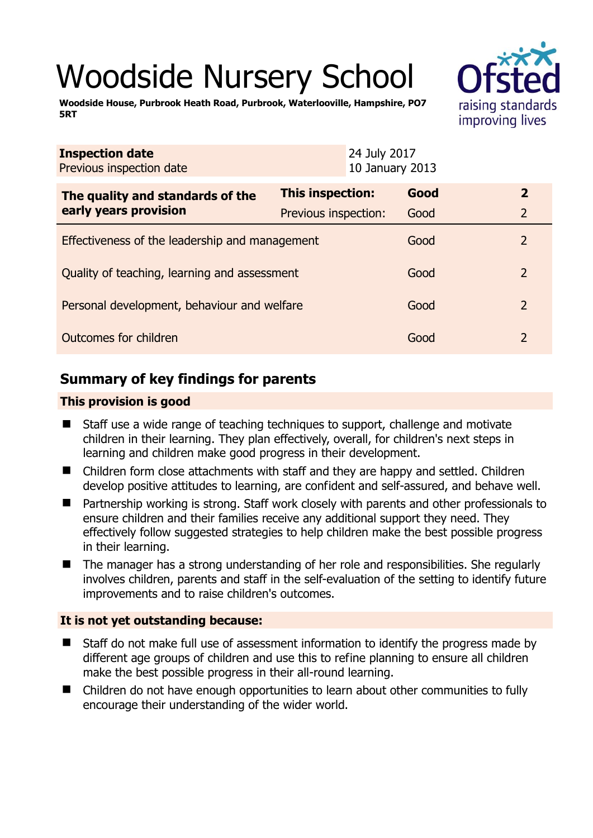# Woodside Nursery School

**Woodside House, Purbrook Heath Road, Purbrook, Waterlooville, Hampshire, PO7 5RT** 



| <b>Inspection date</b><br>Previous inspection date |                         | 24 July 2017<br>10 January 2013 |      |               |
|----------------------------------------------------|-------------------------|---------------------------------|------|---------------|
| The quality and standards of the                   | <b>This inspection:</b> |                                 | Good | $\mathbf{2}$  |
| early years provision                              | Previous inspection:    |                                 | Good | 2             |
| Effectiveness of the leadership and management     |                         |                                 | Good | $\mathcal{P}$ |
| Quality of teaching, learning and assessment       |                         |                                 | Good | $\mathcal{P}$ |
| Personal development, behaviour and welfare        |                         |                                 | Good | 2             |
| Outcomes for children                              |                         |                                 | Good | 2             |

# **Summary of key findings for parents**

## **This provision is good**

- Staff use a wide range of teaching techniques to support, challenge and motivate children in their learning. They plan effectively, overall, for children's next steps in learning and children make good progress in their development.
- Children form close attachments with staff and they are happy and settled. Children develop positive attitudes to learning, are confident and self-assured, and behave well.
- Partnership working is strong. Staff work closely with parents and other professionals to ensure children and their families receive any additional support they need. They effectively follow suggested strategies to help children make the best possible progress in their learning.
- The manager has a strong understanding of her role and responsibilities. She regularly involves children, parents and staff in the self-evaluation of the setting to identify future improvements and to raise children's outcomes.

## **It is not yet outstanding because:**

- Staff do not make full use of assessment information to identify the progress made by different age groups of children and use this to refine planning to ensure all children make the best possible progress in their all-round learning.
- Children do not have enough opportunities to learn about other communities to fully encourage their understanding of the wider world.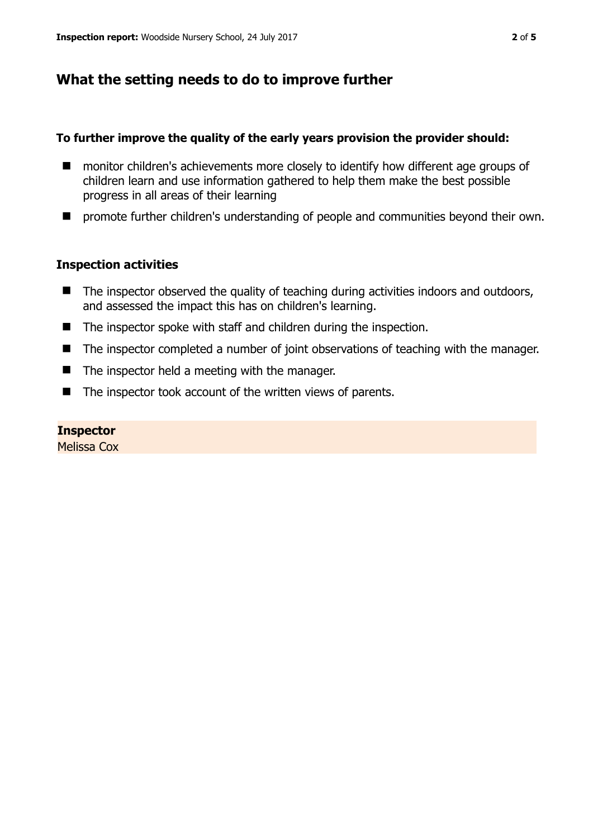# **What the setting needs to do to improve further**

### **To further improve the quality of the early years provision the provider should:**

- monitor children's achievements more closely to identify how different age groups of children learn and use information gathered to help them make the best possible progress in all areas of their learning
- $\blacksquare$  promote further children's understanding of people and communities beyond their own.

## **Inspection activities**

- $\blacksquare$  The inspector observed the quality of teaching during activities indoors and outdoors, and assessed the impact this has on children's learning.
- The inspector spoke with staff and children during the inspection.
- The inspector completed a number of joint observations of teaching with the manager.
- $\blacksquare$  The inspector held a meeting with the manager.
- $\blacksquare$  The inspector took account of the written views of parents.

### **Inspector**

Melissa Cox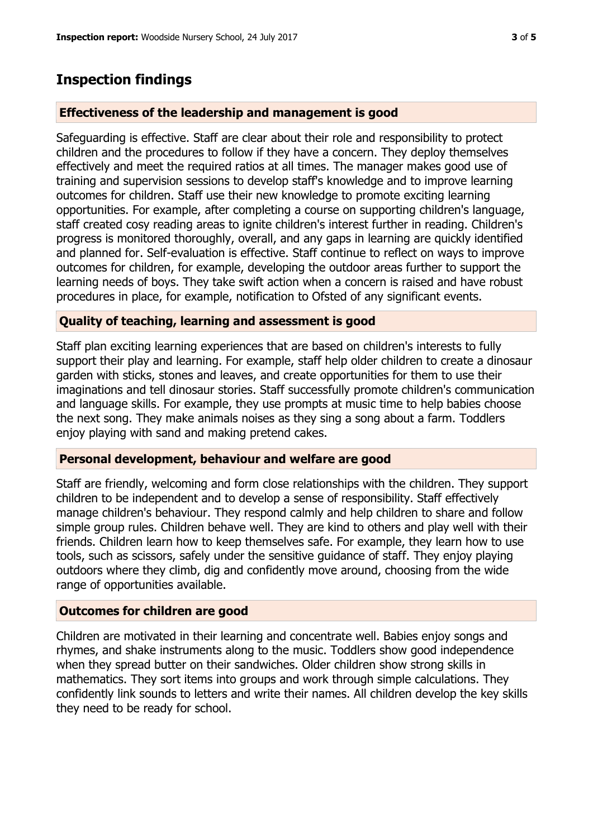## **Inspection findings**

#### **Effectiveness of the leadership and management is good**

Safeguarding is effective. Staff are clear about their role and responsibility to protect children and the procedures to follow if they have a concern. They deploy themselves effectively and meet the required ratios at all times. The manager makes good use of training and supervision sessions to develop staff's knowledge and to improve learning outcomes for children. Staff use their new knowledge to promote exciting learning opportunities. For example, after completing a course on supporting children's language, staff created cosy reading areas to ignite children's interest further in reading. Children's progress is monitored thoroughly, overall, and any gaps in learning are quickly identified and planned for. Self-evaluation is effective. Staff continue to reflect on ways to improve outcomes for children, for example, developing the outdoor areas further to support the learning needs of boys. They take swift action when a concern is raised and have robust procedures in place, for example, notification to Ofsted of any significant events.

#### **Quality of teaching, learning and assessment is good**

Staff plan exciting learning experiences that are based on children's interests to fully support their play and learning. For example, staff help older children to create a dinosaur garden with sticks, stones and leaves, and create opportunities for them to use their imaginations and tell dinosaur stories. Staff successfully promote children's communication and language skills. For example, they use prompts at music time to help babies choose the next song. They make animals noises as they sing a song about a farm. Toddlers enjoy playing with sand and making pretend cakes.

#### **Personal development, behaviour and welfare are good**

Staff are friendly, welcoming and form close relationships with the children. They support children to be independent and to develop a sense of responsibility. Staff effectively manage children's behaviour. They respond calmly and help children to share and follow simple group rules. Children behave well. They are kind to others and play well with their friends. Children learn how to keep themselves safe. For example, they learn how to use tools, such as scissors, safely under the sensitive guidance of staff. They enjoy playing outdoors where they climb, dig and confidently move around, choosing from the wide range of opportunities available.

#### **Outcomes for children are good**

Children are motivated in their learning and concentrate well. Babies enjoy songs and rhymes, and shake instruments along to the music. Toddlers show good independence when they spread butter on their sandwiches. Older children show strong skills in mathematics. They sort items into groups and work through simple calculations. They confidently link sounds to letters and write their names. All children develop the key skills they need to be ready for school.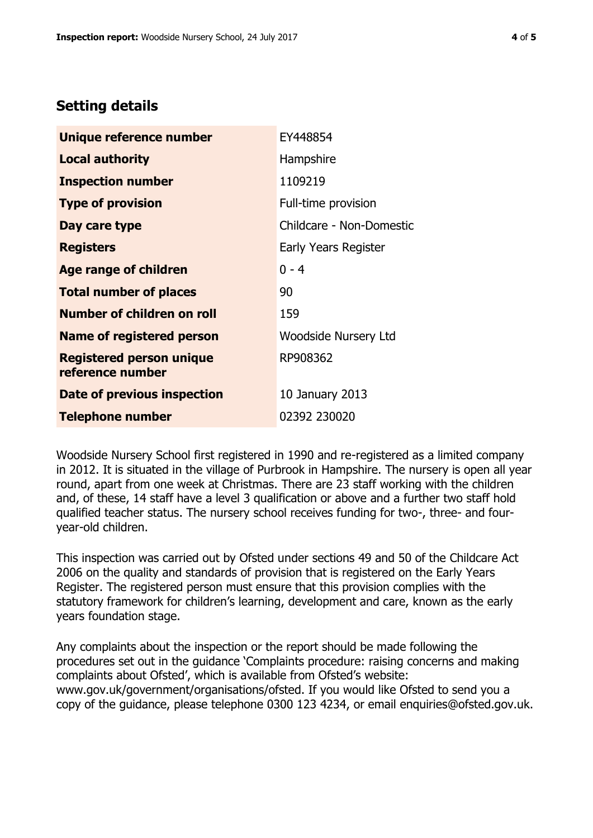# **Setting details**

| Unique reference number                             | EY448854                    |  |
|-----------------------------------------------------|-----------------------------|--|
| <b>Local authority</b>                              | Hampshire                   |  |
| <b>Inspection number</b>                            | 1109219                     |  |
| <b>Type of provision</b>                            | Full-time provision         |  |
| Day care type                                       | Childcare - Non-Domestic    |  |
| <b>Registers</b>                                    | Early Years Register        |  |
| <b>Age range of children</b>                        | $0 - 4$                     |  |
| <b>Total number of places</b>                       | 90                          |  |
| <b>Number of children on roll</b>                   | 159                         |  |
| <b>Name of registered person</b>                    | <b>Woodside Nursery Ltd</b> |  |
| <b>Registered person unique</b><br>reference number | RP908362                    |  |
| Date of previous inspection                         | 10 January 2013             |  |
| <b>Telephone number</b>                             | 02392 230020                |  |

Woodside Nursery School first registered in 1990 and re-registered as a limited company in 2012. It is situated in the village of Purbrook in Hampshire. The nursery is open all year round, apart from one week at Christmas. There are 23 staff working with the children and, of these, 14 staff have a level 3 qualification or above and a further two staff hold qualified teacher status. The nursery school receives funding for two-, three- and fouryear-old children.

This inspection was carried out by Ofsted under sections 49 and 50 of the Childcare Act 2006 on the quality and standards of provision that is registered on the Early Years Register. The registered person must ensure that this provision complies with the statutory framework for children's learning, development and care, known as the early years foundation stage.

Any complaints about the inspection or the report should be made following the procedures set out in the guidance 'Complaints procedure: raising concerns and making complaints about Ofsted', which is available from Ofsted's website: www.gov.uk/government/organisations/ofsted. If you would like Ofsted to send you a copy of the guidance, please telephone 0300 123 4234, or email enquiries@ofsted.gov.uk.